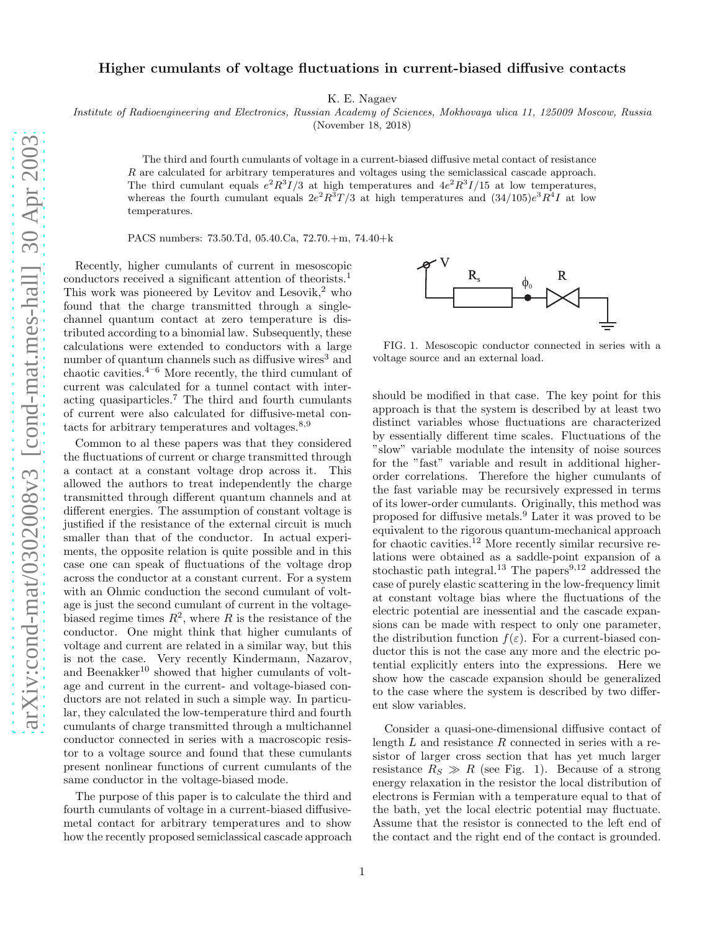## Higher cumulants of voltage fluctuations in current-biased diffusive contacts

K. E. Nagaev

Institute of Radioengineering and Electronics, Russian Academy of Sciences, Mokhovaya ulica 11, 125009 Moscow, Russia

(November 18, 2018)

The third and fourth cumulants of voltage in a current-biased diffusive metal contact of resistance R are calculated for arbitrary temperatures and voltages using the semiclassical cascade approach. The third cumulant equals  $e^2 R^3 I/3$  at high temperatures and  $4e^2 R^3 I/15$  at low temperatures, whereas the fourth cumulant equals  $2e^2R^3T/3$  at high temperatures and  $(34/105)e^3R^4I$  at low temperatures.

PACS numbers: 73.50.Td, 05.40.Ca, 72.70.+m, 74.40+k

Recently, higher cumulants of current in mesoscopic conductors received a significant attention of theorists.<sup>1</sup> This work was pioneered by Levitov and Lesovik, $^2$  who found that the charge transmitted through a singlechannel quantum contact at zero temperature is distributed according to a binomial law. Subsequently, these calculations were extended to conductors with a large number of quantum channels such as diffusive wires<sup>3</sup> and chaotic cavities. $4-6$  More recently, the third cumulant of current was calculated for a tunnel contact with interacting quasiparticles.<sup>7</sup> The third and fourth cumulants of current were also calculated for diffusive-metal contacts for arbitrary temperatures and voltages.<sup>8</sup>,<sup>9</sup>

Common to al these papers was that they considered the fluctuations of current or charge transmitted through a contact at a constant voltage drop across it. This allowed the authors to treat independently the charge transmitted through different quantum channels and at different energies. The assumption of constant voltage is justified if the resistance of the external circuit is much smaller than that of the conductor. In actual experiments, the opposite relation is quite possible and in this case one can speak of fluctuations of the voltage drop across the conductor at a constant current. For a system with an Ohmic conduction the second cumulant of voltage is just the second cumulant of current in the voltagebiased regime times  $R^2$ , where R is the resistance of the conductor. One might think that higher cumulants of voltage and current are related in a similar way, but this is not the case. Very recently Kindermann, Nazarov, and Beenakker $^{10}$  showed that higher cumulants of voltage and current in the current- and voltage-biased conductors are not related in such a simple way. In particular, they calculated the low-temperature third and fourth cumulants of charge transmitted through a multichannel conductor connected in series with a macroscopic resistor to a voltage source and found that these cumulants present nonlinear functions of current cumulants of the same conductor in the voltage-biased mode.

The purpose of this paper is to calculate the third and fourth cumulants of voltage in a current-biased diffusivemetal contact for arbitrary temperatures and to show how the recently proposed semiclassical cascade approach



FIG. 1. Mesoscopic conductor connected in series with a voltage source and an external load.

should be modified in that case. The key point for this approach is that the system is described by at least two distinct variables whose fluctuations are characterized by essentially different time scales. Fluctuations of the "slow" variable modulate the intensity of noise sources for the "fast" variable and result in additional higherorder correlations. Therefore the higher cumulants of the fast variable may be recursively expressed in terms of its lower-order cumulants. Originally, this method was proposed for diffusive metals.<sup>9</sup> Later it was proved to be equivalent to the rigorous quantum-mechanical approach for chaotic cavities.<sup>12</sup> More recently similar recursive relations were obtained as a saddle-point expansion of a stochastic path integral.<sup>13</sup> The papers<sup>9,12</sup> addressed the case of purely elastic scattering in the low-frequency limit at constant voltage bias where the fluctuations of the electric potential are inessential and the cascade expansions can be made with respect to only one parameter, the distribution function  $f(\varepsilon)$ . For a current-biased conductor this is not the case any more and the electric potential explicitly enters into the expressions. Here we show how the cascade expansion should be generalized to the case where the system is described by two different slow variables.

Consider a quasi-one-dimensional diffusive contact of length  $L$  and resistance  $R$  connected in series with a resistor of larger cross section that has yet much larger resistance  $R_S \gg R$  (see Fig. 1). Because of a strong energy relaxation in the resistor the local distribution of electrons is Fermian with a temperature equal to that of the bath, yet the local electric potential may fluctuate. Assume that the resistor is connected to the left end of the contact and the right end of the contact is grounded.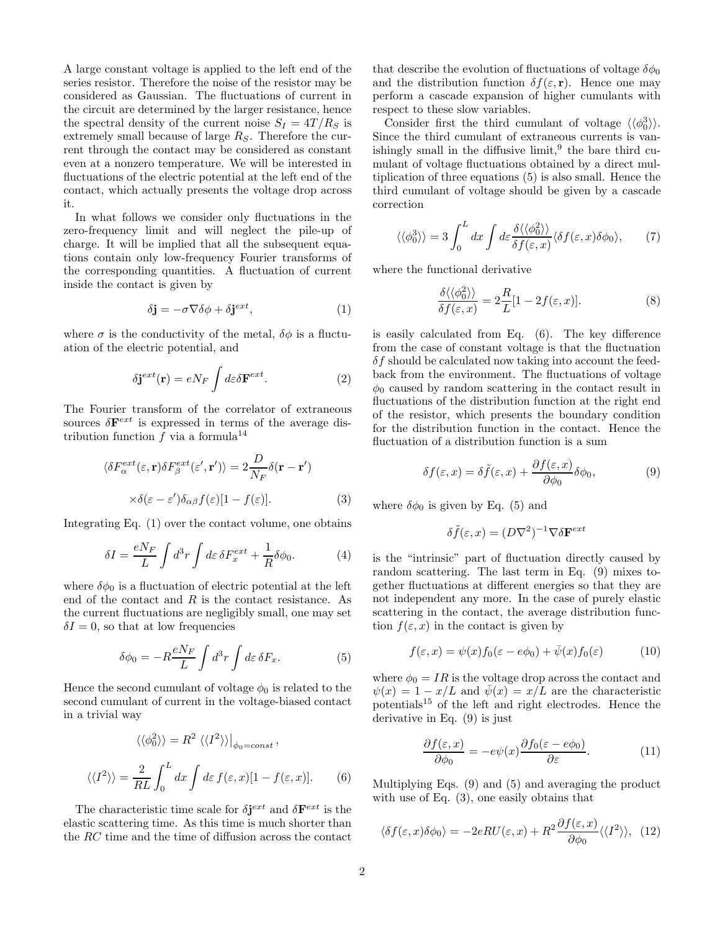A large constant voltage is applied to the left end of the series resistor. Therefore the noise of the resistor may be considered as Gaussian. The fluctuations of current in the circuit are determined by the larger resistance, hence the spectral density of the current noise  $S_I = 4T/R_S$  is extremely small because of large  $R<sub>S</sub>$ . Therefore the current through the contact may be considered as constant even at a nonzero temperature. We will be interested in fluctuations of the electric potential at the left end of the contact, which actually presents the voltage drop across it.

In what follows we consider only fluctuations in the zero-frequency limit and will neglect the pile-up of charge. It will be implied that all the subsequent equations contain only low-frequency Fourier transforms of the corresponding quantities. A fluctuation of current inside the contact is given by

$$
\delta \mathbf{j} = -\sigma \nabla \delta \phi + \delta \mathbf{j}^{ext},\tag{1}
$$

where  $\sigma$  is the conductivity of the metal,  $\delta\phi$  is a fluctuation of the electric potential, and

$$
\delta \mathbf{j}^{ext}(\mathbf{r}) = e N_F \int d\varepsilon \delta \mathbf{F}^{ext}.
$$
 (2)

The Fourier transform of the correlator of extraneous sources  $\delta \mathbf{F}^{ext}$  is expressed in terms of the average distribution function  $f$  via a formula<sup>14</sup>

$$
\langle \delta F_{\alpha}^{ext}(\varepsilon, \mathbf{r}) \delta F_{\beta}^{ext}(\varepsilon', \mathbf{r'}) \rangle = 2 \frac{D}{N_F} \delta(\mathbf{r} - \mathbf{r'})
$$

$$
\times \delta(\varepsilon - \varepsilon') \delta_{\alpha\beta} f(\varepsilon) [1 - f(\varepsilon)]. \tag{3}
$$

Integrating Eq. (1) over the contact volume, one obtains

$$
\delta I = \frac{eN_F}{L} \int d^3r \int d\varepsilon \,\delta F_x^{ext} + \frac{1}{R} \delta \phi_0. \tag{4}
$$

where  $\delta\phi_0$  is a fluctuation of electric potential at the left end of the contact and  $R$  is the contact resistance. As the current fluctuations are negligibly small, one may set  $\delta I = 0$ , so that at low frequencies

$$
\delta\phi_0 = -R\frac{eN_F}{L} \int d^3r \int d\varepsilon \,\delta F_x. \tag{5}
$$

Hence the second cumulant of voltage  $\phi_0$  is related to the second cumulant of current in the voltage-biased contact in a trivial way

$$
\langle \langle \phi_0^2 \rangle \rangle = R^2 \langle \langle I^2 \rangle \rangle \big|_{\phi_0 = const},
$$
  

$$
\langle \langle I^2 \rangle \rangle = \frac{2}{RL} \int_0^L dx \int d\varepsilon f(\varepsilon, x) [1 - f(\varepsilon, x)].
$$
 (6)

The characteristic time scale for  $\delta \mathbf{j}^{ext}$  and  $\delta \mathbf{F}^{ext}$  is the elastic scattering time. As this time is much shorter than the RC time and the time of diffusion across the contact

that describe the evolution of fluctuations of voltage  $\delta\phi_0$ and the distribution function  $\delta f(\varepsilon, \mathbf{r})$ . Hence one may perform a cascade expansion of higher cumulants with respect to these slow variables.

Consider first the third cumulant of voltage  $\langle \langle \phi_0^3 \rangle \rangle$ . Since the third cumulant of extraneous currents is vanishingly small in the diffusive  $\limit^{9}$ , the bare third cumulant of voltage fluctuations obtained by a direct multiplication of three equations (5) is also small. Hence the third cumulant of voltage should be given by a cascade correction

$$
\langle \langle \phi_0^3 \rangle \rangle = 3 \int_0^L dx \int d\varepsilon \frac{\delta \langle \langle \phi_0^2 \rangle \rangle}{\delta f(\varepsilon, x)} \langle \delta f(\varepsilon, x) \delta \phi_0 \rangle, \tag{7}
$$

where the functional derivative

$$
\frac{\delta\langle\langle\phi_0^2\rangle\rangle}{\delta f(\varepsilon, x)} = 2\frac{R}{L}[1 - 2f(\varepsilon, x)].
$$
\n(8)

is easily calculated from Eq. (6). The key difference from the case of constant voltage is that the fluctuation  $\delta f$  should be calculated now taking into account the feedback from the environment. The fluctuations of voltage  $\phi_0$  caused by random scattering in the contact result in fluctuations of the distribution function at the right end of the resistor, which presents the boundary condition for the distribution function in the contact. Hence the fluctuation of a distribution function is a sum

$$
\delta f(\varepsilon, x) = \delta \tilde{f}(\varepsilon, x) + \frac{\partial f(\varepsilon, x)}{\partial \phi_0} \delta \phi_0, \tag{9}
$$

where  $\delta \phi_0$  is given by Eq. (5) and

$$
\delta \tilde{f}(\varepsilon, x) = (D\nabla^2)^{-1} \nabla \delta \mathbf{F}^{ext}
$$

is the "intrinsic" part of fluctuation directly caused by random scattering. The last term in Eq. (9) mixes together fluctuations at different energies so that they are not independent any more. In the case of purely elastic scattering in the contact, the average distribution function  $f(\varepsilon, x)$  in the contact is given by

$$
f(\varepsilon, x) = \psi(x) f_0(\varepsilon - e\phi_0) + \bar{\psi}(x) f_0(\varepsilon)
$$
 (10)

where  $\phi_0 = IR$  is the voltage drop across the contact and  $\psi(x) = 1 - x/L$  and  $\bar{\psi}(x) = x/L$  are the characteristic potentials<sup>15</sup> of the left and right electrodes. Hence the derivative in Eq. (9) is just

$$
\frac{\partial f(\varepsilon, x)}{\partial \phi_0} = -e\psi(x)\frac{\partial f_0(\varepsilon - e\phi_0)}{\partial \varepsilon}.
$$
 (11)

Multiplying Eqs. (9) and (5) and averaging the product with use of Eq. (3), one easily obtains that

$$
\langle \delta f(\varepsilon, x) \delta \phi_0 \rangle = -2eRU(\varepsilon, x) + R^2 \frac{\partial f(\varepsilon, x)}{\partial \phi_0} \langle \langle I^2 \rangle \rangle, \tag{12}
$$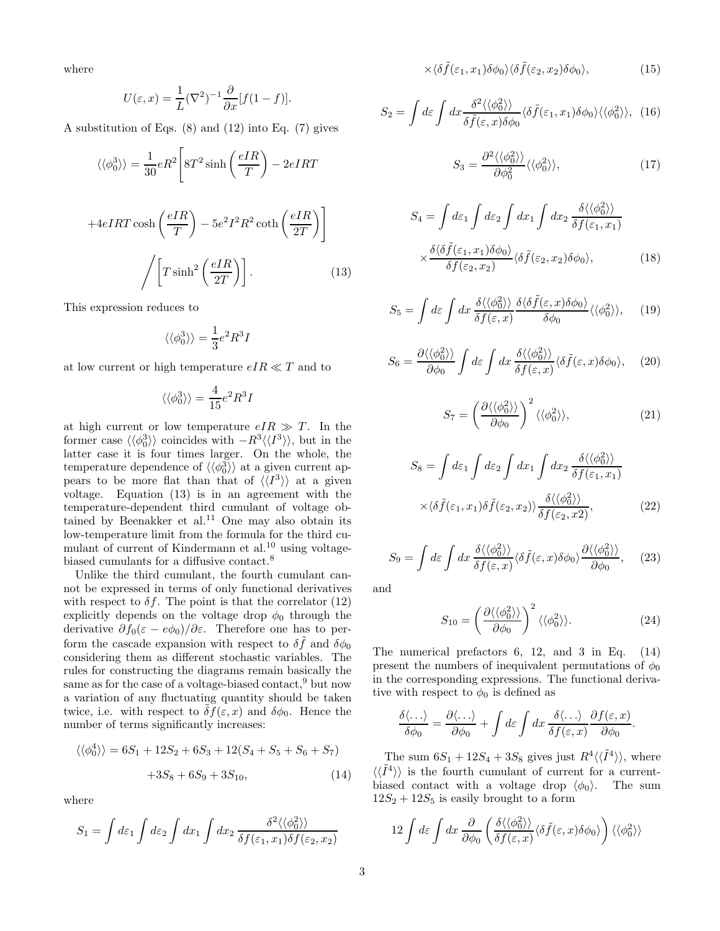where

$$
U(\varepsilon, x) = \frac{1}{L} (\nabla^2)^{-1} \frac{\partial}{\partial x} [f(1 - f)].
$$

A substitution of Eqs. (8) and (12) into Eq. (7) gives

$$
\langle \langle \phi_0^3 \rangle \rangle = \frac{1}{30} eR^2 \left[ 8T^2 \sinh\left(\frac{eIR}{T}\right) - 2eIRT\right]
$$

$$
+4eIRT \cosh\left(\frac{eIR}{T}\right) - 5e^2I^2R^2 \coth\left(\frac{eIR}{2T}\right) \right]
$$

$$
\sqrt{\left[T \sinh^2\left(\frac{eIR}{2T}\right)\right]}.
$$
(13)

This expression reduces to

$$
\langle\langle\phi_0^3\rangle\rangle=\frac{1}{3}e^2R^3I
$$

at low current or high temperature  $eIR \ll T$  and to

$$
\langle\langle\phi_0^3\rangle\rangle=\frac{4}{15}e^2R^3I
$$

at high current or low temperature  $eIR \gg T$ . In the former case  $\langle \langle \phi_0^3 \rangle \rangle$  coincides with  $-R^3 \langle \langle I^3 \rangle \rangle$ , but in the latter case it is four times larger. On the whole, the temperature dependence of  $\langle \langle \phi_0^3 \rangle \rangle$  at a given current appears to be more flat than that of  $\langle \langle I^3 \rangle \rangle$  at a given voltage. Equation (13) is in an agreement with the temperature-dependent third cumulant of voltage obtained by Beenakker et al.<sup>11</sup> One may also obtain its low-temperature limit from the formula for the third cumulant of current of Kindermann et al. $^{10}$  using voltagebiased cumulants for a diffusive contact.<sup>8</sup>

Unlike the third cumulant, the fourth cumulant cannot be expressed in terms of only functional derivatives with respect to  $\delta f$ . The point is that the correlator (12) explicitly depends on the voltage drop  $\phi_0$  through the derivative  $\partial f_0(\varepsilon - e\phi_0)/\partial \varepsilon$ . Therefore one has to perform the cascade expansion with respect to  $\delta \tilde{f}$  and  $\delta \phi_0$ considering them as different stochastic variables. The rules for constructing the diagrams remain basically the same as for the case of a voltage-biased contact,<sup>9</sup> but now a variation of any fluctuating quantity should be taken twice, i.e. with respect to  $\delta f(\varepsilon, x)$  and  $\delta \phi_0$ . Hence the number of terms significantly increases:

$$
\langle \langle \phi_0^4 \rangle \rangle = 6S_1 + 12S_2 + 6S_3 + 12(S_4 + S_5 + S_6 + S_7)
$$

$$
+ 3S_8 + 6S_9 + 3S_{10}, \tag{14}
$$

where

$$
S_1 = \int d\varepsilon_1 \int d\varepsilon_2 \int dx_1 \int dx_2 \frac{\delta^2 \langle \langle \phi_0^2 \rangle \rangle}{\delta f(\varepsilon_1, x_1) \delta f(\varepsilon_2, x_2)}
$$

$$
\times \langle \delta \tilde{f}(\varepsilon_1, x_1) \delta \phi_0 \rangle \langle \delta \tilde{f}(\varepsilon_2, x_2) \delta \phi_0 \rangle, \tag{15}
$$

$$
S_2 = \int d\varepsilon \int dx \frac{\delta^2 \langle \langle \phi_0^2 \rangle \rangle}{\delta \tilde{f}(\varepsilon, x) \delta \phi_0} \langle \delta \tilde{f}(\varepsilon_1, x_1) \delta \phi_0 \rangle \langle \langle \phi_0^2 \rangle \rangle, \tag{16}
$$

$$
S_3 = \frac{\partial^2 \langle \langle \phi_0^2 \rangle \rangle}{\partial \phi_0^2} \langle \langle \phi_0^2 \rangle \rangle, \tag{17}
$$

$$
S_4 = \int d\varepsilon_1 \int d\varepsilon_2 \int dx_1 \int dx_2 \frac{\delta \langle \langle \phi_0^2 \rangle \rangle}{\delta f(\varepsilon_1, x_1)}
$$

$$
\times \frac{\delta \langle \delta \tilde{f}(\varepsilon_1, x_1) \delta \phi_0 \rangle}{\delta f(\varepsilon_2, x_2)} \langle \delta \tilde{f}(\varepsilon_2, x_2) \delta \phi_0 \rangle, \tag{18}
$$

$$
S_5 = \int d\varepsilon \int dx \frac{\delta \langle \langle \phi_0^2 \rangle \rangle}{\delta f(\varepsilon, x)} \frac{\delta \langle \delta \tilde{f}(\varepsilon, x) \delta \phi_0 \rangle}{\delta \phi_0} \langle \langle \phi_0^2 \rangle \rangle, \quad (19)
$$

$$
S_6 = \frac{\partial \langle \langle \phi_0^2 \rangle \rangle}{\partial \phi_0} \int d\varepsilon \int dx \frac{\delta \langle \langle \phi_0^2 \rangle \rangle}{\delta f(\varepsilon, x)} \langle \delta \tilde{f}(\varepsilon, x) \delta \phi_0 \rangle, \quad (20)
$$

$$
S_7 = \left(\frac{\partial \langle \langle \phi_0^2 \rangle \rangle}{\partial \phi_0}\right)^2 \langle \langle \phi_0^2 \rangle \rangle, \tag{21}
$$

$$
S_8 = \int d\varepsilon_1 \int d\varepsilon_2 \int dx_1 \int dx_2 \frac{\delta \langle \langle \phi_0^2 \rangle \rangle}{\delta f(\varepsilon_1, x_1)} \times \langle \delta \tilde{f}(\varepsilon_1, x_1) \delta \tilde{f}(\varepsilon_2, x_2) \rangle \frac{\delta \langle \langle \phi_0^2 \rangle \rangle}{\delta f(\varepsilon_2, x_2)},
$$
(22)

$$
S_9 = \int d\varepsilon \int dx \frac{\delta \langle \langle \phi_0^2 \rangle \rangle}{\delta f(\varepsilon, x)} \langle \delta \tilde{f}(\varepsilon, x) \delta \phi_0 \rangle \frac{\partial \langle \langle \phi_0^2 \rangle \rangle}{\partial \phi_0}, \quad (23)
$$

and

$$
S_{10} = \left(\frac{\partial \langle\langle \phi_0^2 \rangle\rangle}{\partial \phi_0}\right)^2 \langle\langle \phi_0^2 \rangle\rangle. \tag{24}
$$

The numerical prefactors 6, 12, and 3 in Eq. (14) present the numbers of inequivalent permutations of  $\phi_0$ in the corresponding expressions. The functional derivative with respect to  $\phi_0$  is defined as

$$
\frac{\delta\langle \ldots \rangle}{\delta\phi_0} = \frac{\partial\langle \ldots \rangle}{\partial\phi_0} + \int d\varepsilon \int dx \frac{\delta\langle \ldots \rangle}{\delta f(\varepsilon, x)} \frac{\partial f(\varepsilon, x)}{\partial\phi_0}.
$$

The sum  $6S_1 + 12S_4 + 3S_8$  gives just  $R^4 \langle \langle \tilde{I}^4 \rangle \rangle$ , where  $\langle \langle \tilde{I}^4 \rangle \rangle$  is the fourth cumulant of current for a currentbiased contact with a voltage drop  $\langle \phi_0 \rangle$ . The sum  $12S_2 + 12S_5$  is easily brought to a form

$$
12\int d\varepsilon \int dx \, \frac{\partial}{\partial \phi_0} \left( \frac{\delta \langle \langle \phi_0^2 \rangle \rangle}{\delta f(\varepsilon, x)} \langle \delta \tilde{f}(\varepsilon, x) \delta \phi_0 \rangle \right) \langle \langle \phi_0^2 \rangle \rangle
$$